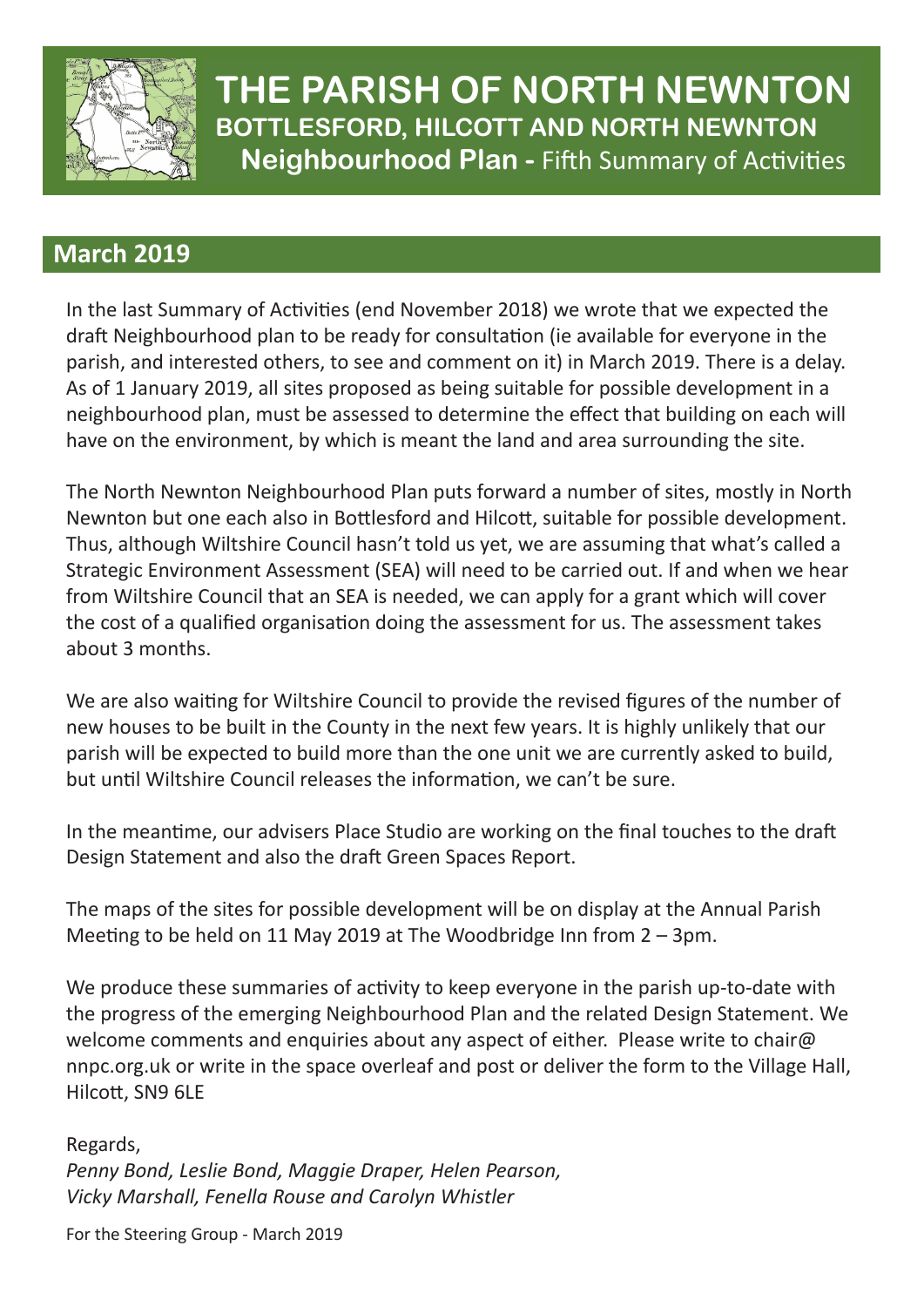

**THE PARISH OF NORTH NEWNTON SUTTLESFURD, FILCUTT AND NURTH NEWNTUN**<br>Neighbourhood Plan - Fifth Summary of Activities **BOTTLESFORD, HILCOTT AND NORTH NEWNTON**

## Since  $\overline{\phantom{a}}$  and  $\overline{\phantom{a}}$  are  $\overline{\phantom{a}}$  and  $\overline{\phantom{a}}$  are  $\overline{\phantom{a}}$ chance **the interviews and opinions** and opinions are about the interviews of the interviews of the interviews of the interviews of the interviews of the interviews of the interviews of the interviews of the interviews of

important  $\mathcal{L}$  is the community of  $\mathcal{L}$  in the  $\mathcal{L}$  -following  $\mathcal{L}$  in the  $\mathcal{L}$ In the last Summary of Activities (end November 2018) we wrote that we expected the parish, and interested strictly, to see and comment on it, in march 2015, there is a dela.<br>As of 1 January 2019, all sites proposed as being suitable for possible development in a neighbourhood plan, must be assessed to determine the effect that building on each will have on the environment, by which is meant the land and area surrounding the site. draft Neighbourhood plan to be ready for consultation (ie available for everyone in the parish, and interested others, to see and comment on it) in March 2019. There is a delay.

The North Newnton Neighbourhood Plan puts forward a number of sites, mostly in North Newnton but one each also in Bottlesford and Hilcott, suitable for possible development.<br>These although Wiltokies Council hasn't tald use at we are accuraing that what's sallad a inds, although willshire Counth hash t told us yet, we are assuming that what's called a<br>Strategic Environment Assessment (SEA) will need to be carried out. If and when we hear our artights and meaning in the secondary can be considered to be cannot be all in any mich will cover about 3 months. The community of  $\mathcal{L}$  and  $\mathcal{L}$  and  $\mathcal{L}$  and  $\mathcal{L}$  and  $\mathcal{L}$  are computed in  $\mathcal{L}$  and  $\mathcal{L}$  and  $\mathcal{L}$  are controlled in  $\mathcal{L}$  and  $\mathcal{L}$  are controlled in  $\mathcal{L}$  and  $\mathcal{L$ Thus, although Wiltshire Council hasn't told us yet, we are assuming that what's called a the cost of a qualified organisation doing the assessment for us. The assessment takes

new houses to be built in the County in the next few years. It is highly unlikely that our even which is comen released the information, he can the date. We are also waiting for Wiltshire Council to provide the revised figures of the number of parish will be expected to build more than the one unit we are currently asked to build, but until Wiltshire Council releases the information, we can't be sure.

Design Statement and also the draft Green Spaces Report. In the meantime, our advisers Place Studio are working on the final touches to the draft

Meeting to be held on 11 May 2019 at The Woodbridge Inn from 2 – 3pm. The maps of the sites for possible development will be on display at the Annual Parish

We produce these summaries of activity to keep everyone in the parish up-to-date with welcome comments and enquiries about any aspect of either. Please write to chair@ Hilcott, SN9 6LE the progress of the emerging Neighbourhood Plan and the related Design Statement. We nnpc.org.uk or write in the space overleaf and post or deliver the form to the Village Hall,

 $\mathcal{O}_\mathcal{A}$  objectives, which is a corresponding to  $\mathcal{A}$  and  $\mathcal{A}$  are  $\mathcal{A}$  . The  $\mathcal{A}$ gards,<br>weblack the first point of the form of this is to Regards, *Penny Bond, Leslie Bond, Maggie Draper, Helen Pearson, Vicky Marshall, Fenella Rouse and Carolyn Whistler*

For the Steering Group - March 2019